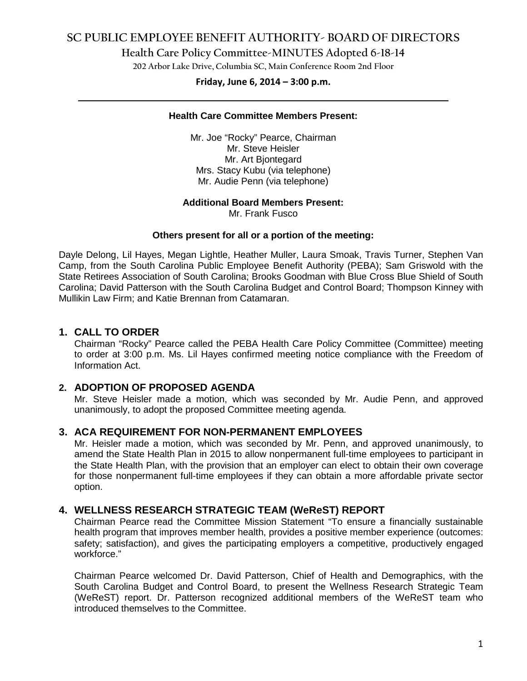# **SC PUBLIC EMPLOYEE BENEFIT AUTHORITY- BOARD OF DIRECTORS**

**Health Care Policy Committee-MINUTES Adopted 6-18-14**

**202 Arbor Lake Drive, Columbia SC, Main Conference Room 2nd Floor**

# **Friday, June 6, 2014 – 3:00 p.m. \_\_\_\_\_\_\_\_\_\_\_\_\_\_\_\_\_\_\_\_\_\_\_\_\_\_\_\_\_\_\_\_\_\_\_\_\_\_\_\_\_\_\_\_\_\_\_\_\_\_\_\_\_\_\_\_\_\_\_\_\_\_\_\_\_\_\_\_\_\_\_\_**

#### **Health Care Committee Members Present:**

Mr. Joe "Rocky" Pearce, Chairman Mr. Steve Heisler Mr. Art Bjontegard Mrs. Stacy Kubu (via telephone) Mr. Audie Penn (via telephone)

#### **Additional Board Members Present:**

Mr. Frank Fusco

#### **Others present for all or a portion of the meeting:**

Dayle Delong, Lil Hayes, Megan Lightle, Heather Muller, Laura Smoak, Travis Turner, Stephen Van Camp, from the South Carolina Public Employee Benefit Authority (PEBA); Sam Griswold with the State Retirees Association of South Carolina; Brooks Goodman with Blue Cross Blue Shield of South Carolina; David Patterson with the South Carolina Budget and Control Board; Thompson Kinney with Mullikin Law Firm; and Katie Brennan from Catamaran.

### **1. CALL TO ORDER**

Chairman "Rocky" Pearce called the PEBA Health Care Policy Committee (Committee) meeting to order at 3:00 p.m. Ms. Lil Hayes confirmed meeting notice compliance with the Freedom of Information Act.

## **2. ADOPTION OF PROPOSED AGENDA**

Mr. Steve Heisler made a motion, which was seconded by Mr. Audie Penn, and approved unanimously, to adopt the proposed Committee meeting agenda.

### **3. ACA REQUIREMENT FOR NON-PERMANENT EMPLOYEES**

Mr. Heisler made a motion, which was seconded by Mr. Penn, and approved unanimously, to amend the State Health Plan in 2015 to allow nonpermanent full-time employees to participant in the State Health Plan, with the provision that an employer can elect to obtain their own coverage for those nonpermanent full-time employees if they can obtain a more affordable private sector option.

#### **4. WELLNESS RESEARCH STRATEGIC TEAM (WeReST) REPORT**

Chairman Pearce read the Committee Mission Statement "To ensure a financially sustainable health program that improves member health, provides a positive member experience (outcomes: safety; satisfaction), and gives the participating employers a competitive, productively engaged workforce."

Chairman Pearce welcomed Dr. David Patterson, Chief of Health and Demographics, with the South Carolina Budget and Control Board, to present the Wellness Research Strategic Team (WeReST) report. Dr. Patterson recognized additional members of the WeReST team who introduced themselves to the Committee.